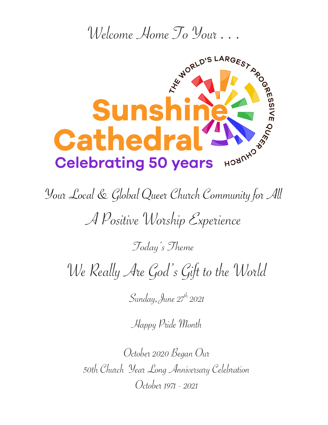

Your Local & Global Queer Church Community for All

A Positive Worship Experience

Today's Theme

We Really Are God's Gift to the World

Sunday, June  $27^h$  2021

Happy Pride Month

October 2020 Began Our 50th Church Year Long Anniversary Celebration October 1971 - 2021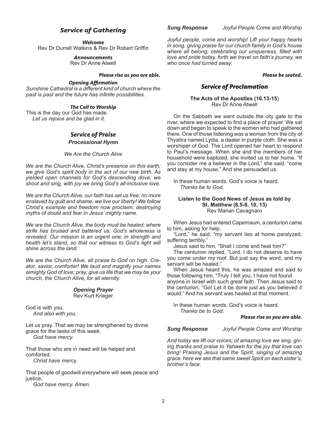# *Service of Gathering*

*Welcome*

Rev Dr Durrell Watkins & Rev Dr Robert Griffin

*Announcements*

Rev Dr Anne Atwell

#### *Please rise as you are able.*

#### *Opening Affirmation*

*Sunshine Cathedral is a different kind of church where the past is past and the future has infinite possibilities.*

#### *The Call to Worship*

This is the day our God has made. *Let us rejoice and be glad in it.*

### *Service of Praise Processional Hymn*

*We Are the Church Alive*

*We are the Church Alive, Christ's presence on this earth; we give God's spirit body in the act of our new birth. As yielded open channels for God's descending dove, we shout and sing, with joy we bring God's all-inclusive love.*

*We are the Church Alive, our faith has set us free; no more enslaved by guilt and shame, we live our liberty! We follow Christ's example and freedom now proclaim, destroying myths of doubt and fear in Jesus' mighty name.*

*We are the Church Alive, the body must be healed; where strife has bruised and battered us, God's wholeness is revealed. Our mission is an urgent one; in strength and health let's stand, so that our witness to God's light will shine across the land.*

*We are the Church Alive, all praise to God on high. Creator, savior, comforter! We laud and magnify your names almighty God of love; pray, give us life that we may be your church, the Church Alive, for all eternity.* 

#### *Opening Prayer* Rev Kurt Krieger

God is with you. *And also with you.*

Let us pray. That we may be strengthened by divine grace for the tasks of this week. *God have mercy.*

That those who are in need will be helped and comforted. *Christ have mercy.*

That people of goodwill everywhere will seek peace and justice.

*God have mercy. Amen.*

*Sung Response Joyful People Come and Worship*

*Joyful people, come and worship! Lift your happy hearts in song, giving praise for our church family in God's house where all belong; celebrating our uniqueness, filled with love and pride today, forth we travel on faith's journey, we who once had turned away.*

#### *Please be seated.*

# *Service of Proclamation*

#### **The Acts of the Apostles (16.13-15**) Rev Dr Anne Atwell

On the Sabbath we went outside the city gate to the river, where we expected to find a place of prayer. We sat down and began to speak to the women who had gathered there. One of those listening was a woman from the city of Thyatira named Lydia, a dealer in purple cloth. She was a worshiper of God. The Lord opened her heart to respond to Paul's message. When she and the members of her household were baptized, she invited us to her home. "If you consider me a believer in the Lord," she said, "come and stay at my house." And she persuaded us.

In these human words, God's voice is heard. *Thanks be to God.*

#### **Listen to the Good News of Jesus as told by St. Matthew (8.5-8, 10, 13)**  Rev Marian Cavagnaro

When Jesus had entered Capernaum, a centurion came to him, asking for help.

"Lord," he said, "my servant lies at home paralyzed, suffering terribly."

Jesus said to him, "Shall I come and heal him?"

The centurion replied, "Lord, I do not deserve to have you come under my roof. But just say the word, and my servant will be healed."

When Jesus heard this, he was amazed and said to those following him, "Truly I tell you, I have not found anyone in Israel with such great faith. Then Jesus said to the centurion, "Go! Let it be done just as you believed it would." And his servant was healed at that moment.

In these human words, God's voice is heard. *Thanks be to God.*

#### *Please rise as you are able.*

*Sung Response Joyful People Come and Worship*

*And today we lift our voices; of amazing love we sing, giving thanks and praise to Yahweh for the joy that love can bring! Praising Jesus and the Spirit, singing of amazing grace, here we see that same sweet Spirit on each sister's, brother's face.*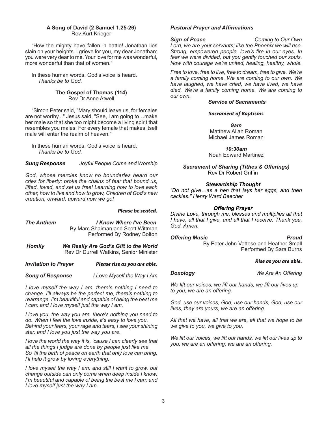#### **A Song of David (2 Samuel 1.25-26)** Rev Kurt Krieger

"How the mighty have fallen in battle! Jonathan lies slain on your heights. I grieve for you, my dear Jonathan; you were very dear to me. Your love for me was wonderful, more wonderful than that of women."

In these human words, God's voice is heard. *Thanks be to God.*

#### **The Gospel of Thomas (114)**  Rev Dr Anne Atwell

"Simon Peter said, "Mary should leave us, for females are not worthy..." Jesus said, "See, I am going to…make her male so that she too might become a living spirit that resembles you males. For every female that makes itself male will enter the realm of heaven."

In these human words, God's voice is heard. *Thanks be to God.*

*Sung Response Joyful People Come and Worship*

*God, whose mercies know no boundaries heard our cries for liberty; broke the chains of fear that bound us, lifted, loved, and set us free! Learning how to love each other, how to live and how to grow, Children of God's new creation, onward, upward now we go!*

#### *Please be seated.*

| The Anthem | I Know Where I've Been            |
|------------|-----------------------------------|
|            | By Marc Shaiman and Scott Wittman |
|            | Performed By Rodney Bolton        |
|            |                                   |

*Homily We Really Are God's Gift to the World* Rev Dr Durrell Watkins, Senior Minister

*Invitation to Prayer Please rise as you are able.*

*Song of Response I Love Myself the Way I Am*

*I love myself the way I am, there's nothing I need to change. I'll always be the perfect me, there's nothing to rearrange. I'm beautiful and capable of being the best me I can; and I love myself just the way I am.*

*I love you, the way you are, there's nothing you need to do. When I feel the love inside, it's easy to love you. Behind your fears, your rage and tears, I see your shining star, and I love you just the way you are.*

*I love the world the way it is, 'cause I can clearly see that all the things I judge are done by people just like me. So 'til the birth of peace on earth that only love can bring, I'll help it grow by loving everything.*

*I love myself the way I am, and still I want to grow, but change outside can only come when deep inside I know: I'm beautiful and capable of being the best me I can; and I love myself just the way I am.*

#### *Pastoral Prayer and Affirmations*

*Sign of Peace Coming to Our Own Lord, we are your servants; like the Phoenix we will rise. Strong, empowered people, love's fire in our eyes. In fear we were divided, but you gently touched our souls. Now with courage we're united, healing, healthy, whole.* 

*Free to love, free to live, free to dream, free to give. We're a family coming home. We are coming to our own. We have laughed, we have cried, we have lived, we have died. We're a family coming home. We are coming to our own.*

#### *Service of Sacraments*

#### *Sacrament of Baptisms*

*9am* Matthew Allan Roman Michael James Roman

*10:30am* Noah Edward Martinez

*Sacrament of Sharing (Tithes & Offerings)* Rev Dr Robert Griffin

#### *Stewardship Thought*

*"Do not give…as a hen that lays her eggs, and then cackles." Henry Ward Beecher* 

#### *Offering Prayer*

*Divine Love, through me, blesses and multiplies all that I have, all that I give, and all that I receive. Thank you, God. Amen.*

#### **Offering Music Proud**

By Peter John Vettese and Heather Small Performed By Sara Burns

#### *Rise as you are able.*

*Doxology**We Are An Offering*

*We lift our voices, we lift our hands, we lift our lives up to you, we are an offering.*

*God, use our voices, God, use our hands, God, use our lives, they are yours, we are an offering.*

*All that we have, all that we are, all that we hope to be we give to you, we give to you.*

*We lift our voices, we lift our hands, we lift our lives up to you, we are an offering; we are an offering.*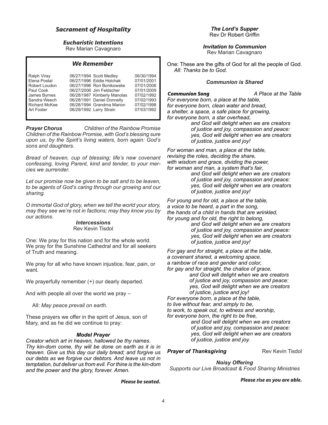# *Sacrament of Hospitality*

### *Eucharistic Intentions*

Rev Marian Cavagnaro

#### *We Remember*

| Ralph Viray          | 06/27/1994 Scott Medley     | 06/30/1994 |
|----------------------|-----------------------------|------------|
| Elena Postal         | 06/27/1996 Eddie Holchak    | 07/01/2001 |
| Robert Loudon        | 06/27/1996 Ron Bonikowske   | 07/01/2006 |
| Paul Cook            | 06/27/2006 Jim Feldscher    | 07/01/2009 |
| James Byrnes         | 06/28/1987 Kimberly Manolas | 07/02/1992 |
| Sandra Weech         | 06/28/1991 Daniel Donnelly  | 07/02/1993 |
| <b>Richard McKee</b> | 06/28/1994 Grandma Marion   | 07/02/1998 |
| Art Foster           | 06/29/1992 Larry Strain     | 07/03/1992 |

*Prayer Chorus Children of the Rainbow Promise Children of the Rainbow Promise, with God's blessing sure upon us, by the Spirit's living waters, born again: God's sons and daughters.*

*Bread of heaven, cup of blessing; life's new covenant confessing, loving Parent, kind and tender, to your mercies we surrender.*

*Let our promise now be given to be salt and to be leaven, to be agents of God's caring through our growing and our sharing.* 

*O immortal God of glory, when we tell the world your story, may they see we're not in factions; may they know you by our actions.* 

# *Intercessions*

Rev Kevin Tisdol

One: We pray for this nation and for the whole world. We pray for the Sunshine Cathedral and for all seekers of Truth and meaning.

We pray for all who have known injustice, fear, pain, or want.

We prayerfully remember  $(+)$  our dearly departed.

And with people all over the world we pray –

All: *May peace prevail on earth.* 

These prayers we offer in the spirit of Jesus, son of Mary, and as he did we continue to pray:

#### *Model Prayer*

*Creator which art in heaven, hallowed be thy names. Thy kin-dom come, thy will be done on earth as it is in heaven. Give us this day our daily bread; and forgive us our debts as we forgive our debtors. And leave us not in temptation, but deliver us from evil. For thine is the kin-dom and the power and the glory, forever. Amen.*

*Please be seated.*

*Invitation to Communion* Rev Marian Cavagnaro

One: These are the gifts of God for all the people of God. *All: Thanks be to God.*

#### *Communion is Shared*

*Communion Song A Place at the Table*

*For everyone born, a place at the table, for everyone born, clean water and bread, a shelter, a space, a safe place for growing, for everyone born, a star overhead,*

 *and God will delight when we are creators of justice and joy, compassion and peace: yes, God will delight when we are creators of justice, justice and joy!*

*For woman and man, a place at the table, revising the roles, deciding the share, with wisdom and grace, dividing the power, for woman and man, a system that's fair,*

 *and God will delight when we are creators of justice and joy, compassion and peace: yes, God will delight when we are creators of justice, justice and joy!*

*For young and for old, a place at the table, a voice to be heard, a part in the song, the hands of a child in hands that are wrinkled, for young and for old, the right to belong,*

 *and God will delight when we are creators of justice and joy, compassion and peace: yes, God will delight when we are creators of justice, justice and joy!*

*For gay and for straight, a place at the table, a covenant shared, a welcoming space, a rainbow of race and gender and color, for gay and for straight, the chalice of grace, and God will delight when we are creators of justice and joy, compassion and peace: yes, God will delight when we are creators of justice, justice and joy! For everyone born, a place at the table, to live without fear, and simply to be, to work, to speak out, to witness and worship,*

*for everyone born, the right to be free,*

 *and God will delight when we are creators of justice and joy, compassion and peace: yes, God will delight when we are creators of justice, justice and joy.*

#### **Prayer of Thanksgiving**<br>**Rev Kevin Tisdol**

*Noisy Offering Supports our Live Broadcast & Food Sharing Ministries*

*Please rise as you are able.*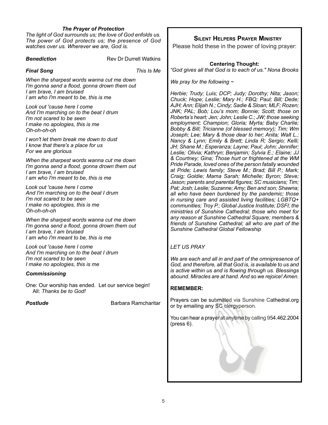#### *The Prayer of Protection*

*The light of God surrounds us; the love of God enfolds us. The power of God protects us; the presence of God watches over us. Wherever we are, God is.*

**Benediction Rev Dr Durrell Watkins** 

*Final Song This Is Me*

*When the sharpest words wanna cut me down I'm gonna send a flood, gonna drown them out I am brave, I am bruised I am who I'm meant to be, this is me*

*Look out 'cause here I come And I'm marching on to the beat I drum I'm not scared to be seen I make no apologies, this is me Oh-oh-oh-oh*

*I won't let them break me down to dust I know that there's a place for us For we are glorious*

*When the sharpest words wanna cut me down I'm gonna send a flood, gonna drown them out I am brave, I am bruised I am who I'm meant to be, this is me*

*Look out 'cause here I come And I'm marching on to the beat I drum I'm not scared to be seen I make no apologies, this is me Oh-oh-oh-oh*

*When the sharpest words wanna cut me down I'm gonna send a flood, gonna drown them out I am brave, I am bruised I am who I'm meant to be, this is me*

*Look out 'cause here I come And I'm marching on to the beat I drum I'm not scared to be seen I make no apologies, this is me*

#### *Commissioning*

One: Our worship has ended. Let our service begin! All: *Thanks be to God!*

**Postlude Barbara Ramcharitar** 

# **Silent Helpers Prayer Ministry**

Please hold these in the power of loving prayer:

#### **Centering Thought:** *"God gives all that God is to each of us." Nona Brooks*

*We pray for the following ~* 

*Herbie; Trudy; Luis; DCP; Judy; Dorothy; Nita; Jason; Chuck; Hope; Leslie; Mary H.; FBQ; Paul; Bill; Dede; AJH; Ann; Elijah N.; Cindy; Sadie & Sloan; MLF; Rozen; JNK; PAL; Bob; Lou's mom; Bonnie; Scott; those on Roberta's heart; Jen; John; Leslie C.; JW; those seeking employment; Champion; Gloria; Myrta; Baby Charlie; Bobby & Bill; Tricianne (of blessed memory); Tim; Wm*  Joseph; Lee; Mary & those dear to her; Anita; Walt L., *Nancy & Lynn; Emily & Brett; Linda R; Sergio; Kelli; JH; Shane M.; Esperanza; Layne; Paul; John; Jennifer; Leslie; Olivia; Kathryn; Benjamin; Sylvia E.; Elaine; JJ & Courtney; Gina; Those hurt or frightened at the WM Pride Parade, loved ones of the person fatally wounded at Pride; Lewis family; Steve M.; Brad; Bill P.; Mark; Craig; Goldie; Mama Sarah; Michelle; Byron; Steve; Jason; parents and parental figures; SC musicians; Tim; Pat; Josh; Leslie; Suzanne; Amy; Ben and son; Shawna; all who have been burdened by the pandemic; those in nursing care and assisted living facilities; LGBTQ+ communities; Troy P.; Global Justice Institute; DSFI; the ministries of Sunshine Cathedral; those who meet for any reason at Sunshine Cathedral Square; members & friends of Sunshine Cathedral; all who are part of the Sunshine Cathedral Global Fellowship* 

### *LET US PRAY*

*We are each and all in and part of the omnipresence of God, and therefore, all that God is, is available to us and is active within us and is flowing through us. Blessings abound. Miracles are at hand. And so we rejoice! Amen.*

#### **REMEMBER:**

Prayers can be submitted via Sunshine Cathedral.org or by emailing any SC clergyperson.

You can hear a prayer at anytime by calling 954.462.2004 (press 6).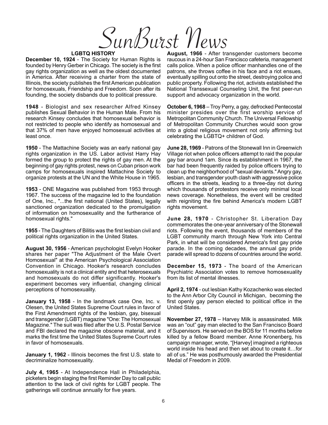SunBurst News

#### **LGBTQ HISTORY**

**December 10, 1924** - The Society for Human Rights is founded by Henry Gerber in Chicago. The society is the first gay rights organization as well as the oldest documented in America. After receiving a charter from the state of Illinois, the society publishes the first American publication for homosexuals, Friendship and Freedom. Soon after its founding, the society disbands due to political pressure.

**1948** - Biologist and sex researcher Alfred Kinsey publishes Sexual Behavior in the Human Male. From his research Kinsey concludes that homosexual behavior is not restricted to people who identify as homosexual and that 37% of men have enjoyed homosexual activities at least once.

**1950** - The Mattachine Society was an early national gay rights organization in the US. Labor activist Harry Hay formed the group to protect the rights of gay men. At the beginning of gay rights protest, news on Cuban prison work camps for homosexuals inspired Mattachine Society to organize protests at the UN and the White House in 1965.

**1953** - ONE Magazine was published from 1953 through 1967. The success of the magazine led to the foundation of One, Inc., "...the first national (United States), legally sanctioned organization dedicated to the promulgation of information on homosexuality and the furtherance of homosexual rights."

**1955** - The Daughters of Bilitis was the first lesbian civil and political rights organization in the United States.

**August 30, 1956** - American psychologist Evelyn Hooker shares her paper "The Adjustment of the Male Overt Homosexual" at the American Psychological Association Convention in Chicago. Hooker's research concludes homosexuality is not a clinical entity and that heterosexuals and homosexuals do not differ significantly. Hooker's experiment becomes very influential, changing clinical perceptions of homosexuality.

**January 13, 1958** - In the landmark case One, Inc. v. Olesen, the United States Supreme Court rules in favor of the First Amendment rights of the lesbian, gay, bisexual and transgender (LGBT) magazine "One: The Homosexual Magazine." The suit was filed after the U.S. Postal Service and FBI declared the magazine obscene material, and it marks the first time the United States Supreme Court rules in favor of homosexuals.

**January 1, 1962** - Illinois becomes the first U.S. state to decriminalize homosexuality.

**July 4, 1965** - At Independence Hall in Philadelphia, picketers begin staging the first Reminder Day to call public attention to the lack of civil rights for LGBT people. The gatherings will continue annually for five years.

**August, 1966** - After transgender customers become raucous in a 24-hour San Francisco cafeteria, management calls police. When a police officer manhandles one of the patrons, she throws coffee in his face and a riot ensues, eventually spilling out onto the street, destroying police and public property. Following the riot, activists established the National Transsexual Counseling Unit, the first peer-run support and advocacy organization in the world.

**October 6, 1968** – Troy Perry, a gay, defrocked Pentecostal minister presides over the first worship service of Metropolitan Community Church. The Universal Fellowship of Metropolitan Community Churches would soon grow into a global religious movement not only affirming but celebrating the LGBTQ+ children of God.

**June 28, 1969** - Patrons of the Stonewall Inn in Greenwich Village riot when police officers attempt to raid the popular gay bar around 1am. Since its establishment in 1967, the bar had been frequently raided by police officers trying to clean up the neighborhood of "sexual deviants." Angry gay, lesbian, and transgender youth clash with aggressive police officers in the streets, leading to a three-day riot during which thousands of protestors receive only minimal local news coverage. Nonetheless, the event will be credited with reigniting the fire behind America's modern LGBT rights movement.

**June 28, 1970** - Christopher St. Liberation Day commemorates the one-year anniversary of the Stonewall riots. Following the event, thousands of members of the LGBT community march through New York into Central Park, in what will be considered America's first gay pride parade. In the coming decades, the annual gay pride parade will spread to dozens of countries around the world.

**December 15, 1973** - The board of the American Psychiatric Association votes to remove homosexuality from its list of mental illnesses.

**April 2, 1974** - out lesbian Kathy Kozachenko was elected to the Ann Arbor City Council in Michigan, becoming the first openly gay person elected to political office in the United States.

**November 27, 1978** – Harvey Milk is assassinated. Milk was an "out" gay man elected to the San Francisco Board of Supervisors. He served on the BOS for 11 months before killed by a fellow Board member. Anne Kronenberg, his campaign manager, wrote, "[Harvey] imagined a righteous world inside his head and then set about to create it…for all of us." He was posthumously awarded the Presidential Medal of Freedom in 2009.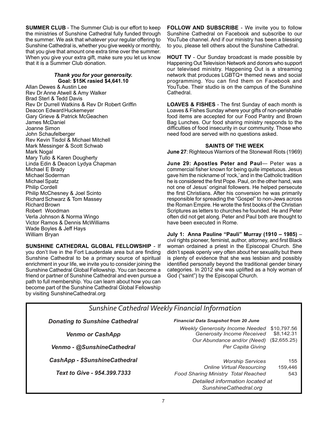**SUMMER CLUB** - The Summer Club is our effort to keep the ministries of Sunshine Cathedral fully funded through the summer. We ask that whatever your regular offering to Sunshine Cathedral is, whether you give weekly or monthly, that you give that amount one extra time over the summer. When you give your extra gift, make sure you let us know that it is a Summer Club donation.

## *Thank you for your generosity.* **Goal: \$15K rasied \$4,641.10**

Allan Dewes & Austin Lee Rev Dr Anne Atwell & Amy Walker Brad Sterl & Tedd Davis Rev Dr Durrell Watkins & Rev Dr Robert Griffin Deacon EdwardHuckemeyer Gary Grieve & Patrick McGeachen James McDaniel Joanne Simon John Schaufelberger Rev Kevin Tisdol & Michael Mitchell Mark Messinger & Scott Schwab Mark Nogal Mary Tullo & Karen Dougherty Linda Edin & Deacon Lydya Chapman Michael E Brady Michael Soderman Michael Spatz Philip Cordell Philip McChesney & Joel Scinto Richard Schwarz & Tom Massey Richard Brown Robert Woodman Verla Johnson & Norma Wingo Victor Ramos & Dennis McWilliams Wade Boyles & Jeff Hays William Bryan

**SUNSHINE CATHEDRAL GLOBAL FELLOWSHIP** - If you don't live in the Fort Lauderdale area but are finding Sunshine Cathedral to be a primary source of spiritual enrichment in your life, we invite you to consider joining the Sunshine Cathedral Global Fellowship. You can become a friend or partner of Sunshine Cathedral and even pursue a path to full membership. You can learn about how you can become part of the Sunshine Cathedral Global Fellowship by visiting SunshineCathedral.org

**FOLLOW AND SUBSCRIBE** - We invite you to follow Sunshine Cathedral on Facebook and subscribe to our YouTube channel. And if our ministry has been a blessing to you, please tell others about the Sunshine Cathedral.

**HOUT TV** - Our Sunday broadcast is made possible by Happening Out Television Network and donors who support our televised ministry. Happening Out is a streaming network that produces LGBTQ+ themed news and social programming. You can find them on Facebook and YouTube. Their studio is on the campus of the Sunshine Cathedral.

**LOAVES & FISHES** - The first Sunday of each month is Loaves & Fishes Sunday where your gifts of non-perishable food items are accepted for our Food Pantry and Brown Bag Lunches. Our food sharing ministry responds to the difficulties of food insecurity in our community. Those who need food are served with no questions asked.

## **SAINTS OF THE WEEK**

**June 27**: Righteous Warriors of the Stonewall Riots (1969)

**June 29: Apostles Peter and Paul**— Peter was a commercial fisher known for being quite impetuous. Jesus gave him the nickname of 'rock,' and in the Catholic tradition he is considered the first Pope. Paul, on the other hand, was not one of Jesus' original followers. He helped persecute the first Christians. After his conversion he was primarily responsible for spreading the "Gospel" to non-Jews across the Roman Empire. He wrote the first books of the Christian Scriptures as letters to churches he founded. He and Peter often did not get along. Peter and Paul both are thought to have been executed in Rome.

**July 1: Anna Pauline "Pauli" Murray (1910 – 1985)** – civil rights pioneer, feminist, author, attorney, and first Black woman ordained a priest in the Episcopal Church. She didn't speak openly very often about her sexuality but there is plenty of evidence that she was lesbian and possibly identified personally beyond the traditional gender binary categories. In 2012 she was uplifted as a holy woman of God ("saint") by the Episcopal Church.

*SunshineCathedral.org*

|                                       | Sunshine Cathedral Weekly Financial Information |                                                                      |                           |  |  |  |  |
|---------------------------------------|-------------------------------------------------|----------------------------------------------------------------------|---------------------------|--|--|--|--|
|                                       |                                                 |                                                                      |                           |  |  |  |  |
| <b>Donating to Sunshine Cathedral</b> |                                                 | <b>Financial Data Snapshot from 20 June</b>                          |                           |  |  |  |  |
|                                       | <b>Venmo or CashApp</b>                         | <b>Weekly Generosity Income Needed</b><br>Generosity Income Received | \$10,797.56<br>\$8.142.31 |  |  |  |  |
|                                       |                                                 | Our Abundance and/or (Need)                                          | (\$2,655.25)              |  |  |  |  |
|                                       | Venmo - @SunshineCathedral                      | Per Capita Giving                                                    |                           |  |  |  |  |
|                                       | <b>CashApp - \$SunshineCathedral</b>            | <b>Worship Services</b>                                              | 155                       |  |  |  |  |
|                                       |                                                 | <b>Online Virtual Resourcing</b>                                     | 159,446                   |  |  |  |  |
|                                       | Text to Give - 954.399.7333                     | Food Sharing Ministry Total Reached                                  | 543                       |  |  |  |  |
|                                       | Detailed information located at                 |                                                                      |                           |  |  |  |  |